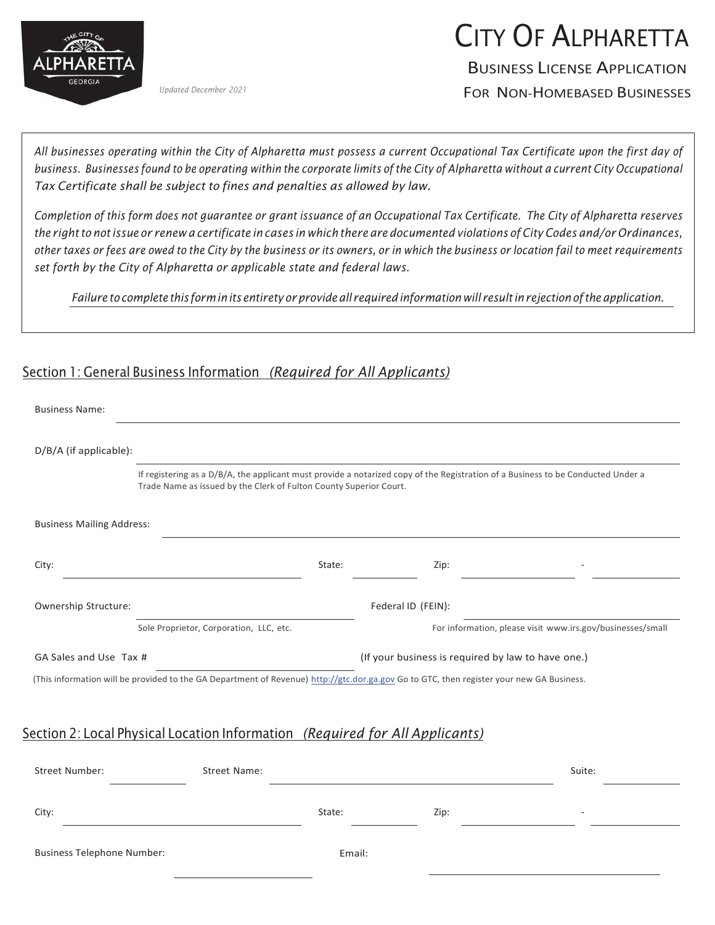

*Updated December 2021*

# CITY OF ALPHARETTA

BUSINESS LICENSE APPLICATION

FOR NON-HOMEBASED BUSINESSES

All businesses operating within the City of Alpharetta must possess a current Occupational Tax Certificate upon the first day of business. Businesses found to be operating within the corporate limits of the City of Alpharetta without a current City Occupational *Tax Certificate shall be subject to fines and penalties as allowed by law.*

Completion of this form does not guarantee or grant issuance of an Occupational Tax Certificate. The City of Alpharetta reserves the right to not issue or renew a certificate in cases in which there are documented violations of City Codes and/or Ordinances, other taxes or fees are owed to the City by the business or its owners, or in which the business or location fail to meet requirements *set forth by the City of Alpharetta or applicable state and federal laws.*

*Failure to complete this form inits entirety orprovide all required information will result inrejection ofthe application.*

#### Section 1: General Business Information *(Required for All Applicants)*

| <b>Business Name:</b>                                                                                                                    |        |                                                                                                                                  |        |  |
|------------------------------------------------------------------------------------------------------------------------------------------|--------|----------------------------------------------------------------------------------------------------------------------------------|--------|--|
| D/B/A (if applicable):                                                                                                                   |        |                                                                                                                                  |        |  |
| Trade Name as issued by the Clerk of Fulton County Superior Court.                                                                       |        | If registering as a D/B/A, the applicant must provide a notarized copy of the Registration of a Business to be Conducted Under a |        |  |
| <b>Business Mailing Address:</b>                                                                                                         |        |                                                                                                                                  |        |  |
| City:                                                                                                                                    | State: | Zip:                                                                                                                             |        |  |
| Ownership Structure:                                                                                                                     |        | Federal ID (FEIN):                                                                                                               |        |  |
| Sole Proprietor, Corporation, LLC, etc.                                                                                                  |        | For information, please visit www.irs.gov/businesses/small                                                                       |        |  |
| GA Sales and Use Tax #                                                                                                                   |        | (If your business is required by law to have one.)                                                                               |        |  |
| (This information will be provided to the GA Department of Revenue) http://gtc.dor.ga.gov Go to GTC, then register your new GA Business. |        |                                                                                                                                  |        |  |
| Section 2: Local Physical Location Information (Required for All Applicants)                                                             |        |                                                                                                                                  |        |  |
| <b>Street Number:</b><br>Street Name:                                                                                                    |        |                                                                                                                                  | Suite: |  |
|                                                                                                                                          | State: | Zip:                                                                                                                             |        |  |
| City:                                                                                                                                    |        |                                                                                                                                  |        |  |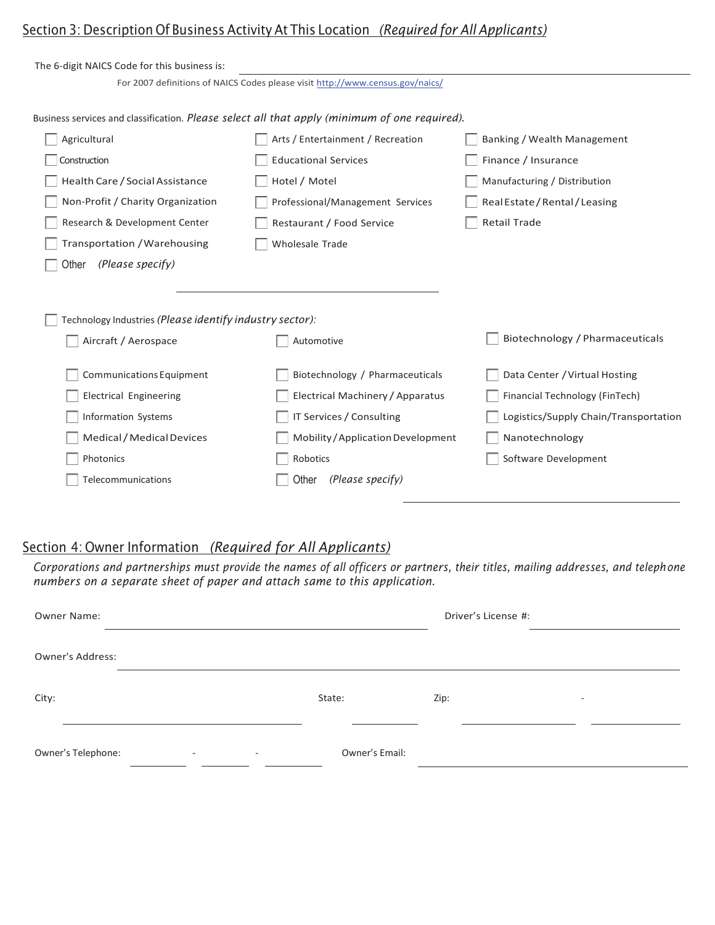# Section 3: Description Of Business Activity At This Location *(Required for All Applicants)*

| The 6-digit NAICS Code for this business is:                                                  |                                                                               |                                       |
|-----------------------------------------------------------------------------------------------|-------------------------------------------------------------------------------|---------------------------------------|
|                                                                                               | For 2007 definitions of NAICS Codes please visit http://www.census.gov/naics/ |                                       |
|                                                                                               |                                                                               |                                       |
| Business services and classification. Please select all that apply (minimum of one required). |                                                                               |                                       |
| Agricultural                                                                                  | Arts / Entertainment / Recreation                                             | Banking / Wealth Management           |
| Construction                                                                                  | <b>Educational Services</b>                                                   | Finance / Insurance                   |
| Health Care / Social Assistance                                                               | Hotel / Motel                                                                 | Manufacturing / Distribution          |
| Non-Profit / Charity Organization                                                             | Professional/Management Services                                              | Real Estate / Rental / Leasing        |
| Research & Development Center                                                                 | Restaurant / Food Service                                                     | <b>Retail Trade</b>                   |
| Transportation / Warehousing                                                                  | <b>Wholesale Trade</b>                                                        |                                       |
| (Please specify)<br>Other                                                                     |                                                                               |                                       |
|                                                                                               |                                                                               |                                       |
|                                                                                               |                                                                               |                                       |
| Technology Industries (Please identify industry sector):                                      |                                                                               |                                       |
| Aircraft / Aerospace                                                                          | Automotive                                                                    | Biotechnology / Pharmaceuticals       |
|                                                                                               |                                                                               |                                       |
| Communications Equipment                                                                      | Biotechnology / Pharmaceuticals                                               | Data Center / Virtual Hosting         |
| <b>Electrical Engineering</b>                                                                 | Electrical Machinery / Apparatus                                              | Financial Technology (FinTech)        |
| <b>Information Systems</b>                                                                    | IT Services / Consulting                                                      | Logistics/Supply Chain/Transportation |
| Medical / Medical Devices                                                                     | Mobility / Application Development                                            | Nanotechnology                        |
| Photonics                                                                                     | Robotics                                                                      | Software Development                  |
| Telecommunications                                                                            | (Please specify)<br>Other                                                     |                                       |
|                                                                                               |                                                                               |                                       |

#### Section 4: Owner Information *(Required for All Applicants)*

*Corporations and partnerships must provide the names of all officers or partners, their titles, mailing addresses, and telephone numbers on a separate sheet of paper and attach same to this application.*

| Owner Name:                                                        |                | Driver's License #:              |
|--------------------------------------------------------------------|----------------|----------------------------------|
| <b>Owner's Address:</b>                                            |                |                                  |
| City:                                                              | State:         | Zip:<br>$\overline{\phantom{0}}$ |
| Owner's Telephone:<br>$\sim$ 100 $\mu$<br>$\overline{\phantom{a}}$ | Owner's Email: |                                  |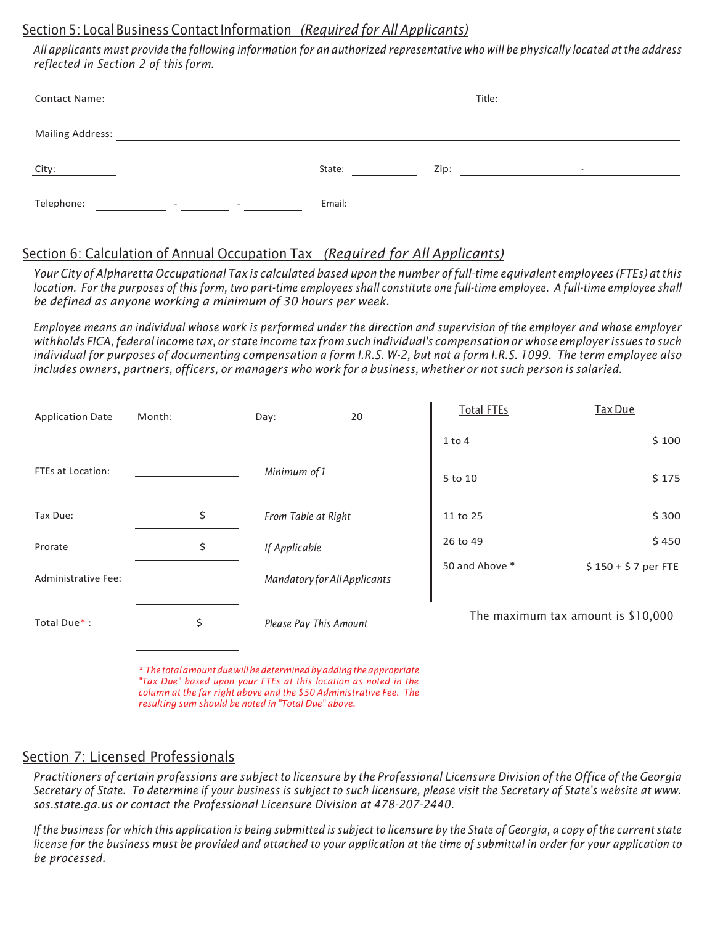#### Section 5: Local BusinessContactInformation *(Required for All Applicants)*

All applicants must provide the following information for an authorized representative who will be physically located at the address *reflected in Section 2 of this form.*

| <b>Contact Name:</b>    |                                  |        |      | Title:                                                                          |  |
|-------------------------|----------------------------------|--------|------|---------------------------------------------------------------------------------|--|
| <b>Mailing Address:</b> |                                  |        |      |                                                                                 |  |
| City:                   |                                  | State: | Zip: | the contract of the contract of the contract of the contract of the contract of |  |
| Telephone:              | and the first state of the state | Email: |      |                                                                                 |  |

### Section 6: Calculation of Annual Occupation Tax *(Required for All Applicants)*

Your City of Alpharetta Occupational Tax is calculated based upon the number of full-time equivalent employees (FTEs) at this location. For the purposes of this form, two part-time employees shall constitute one full-time employee. A full-time employee shall *be defined as anyone working a minimum of 30 hours per week.*

Employee means an individual whose work is performed under the direction and supervision of the employer and whose employer withholds FICA, federal income tax, or state income tax from such individual's compensation or whose employer issues to such individual for purposes of documenting compensation a form I.R.S. W-2, but not a form I.R.S. 1099. The term employee also includes owners, partners, officers, or managers who work for a business, whether or not such person is salaried.

| <b>Application Date</b> | Month: | Day:                         | 20 | <b>Total FTEs</b> | Tax Due                            |
|-------------------------|--------|------------------------------|----|-------------------|------------------------------------|
|                         |        |                              |    | $1$ to $4$        | \$100                              |
| FTEs at Location:       |        | Minimum of 1                 |    | 5 to 10           | \$175                              |
| Tax Due:                | \$     | From Table at Right          |    | 11 to 25          | \$300                              |
| Prorate                 | \$     | If Applicable                |    | 26 to 49          | \$450                              |
| Administrative Fee:     |        | Mandatory for All Applicants |    | 50 and Above *    | $$150 + $7$ per FTE                |
| Total Due*:             | \$     | Please Pay This Amount       |    |                   | The maximum tax amount is \$10,000 |

*\* The totalamountduewillbedeterminedbyaddingtheappropriate "Tax Due" based upon your FTEs at this location as noted in the column at the far right above and the \$50 Administrative Fee. The resulting sum should be noted in "Total Due" above.*

#### Section 7: Licensed Professionals

Practitioners of certain professions are subject to licensure by the Professional Licensure Division of the Office of the Georgia Secretary of State. To determine if your business is subject to such licensure, please visit the Secretary of State's website at [www.](http://www/) *sos.state.ga.us or contact the Professional Licensure Division at 478-207-2440.*

If the business for which this application is being submitted is subject to licensure by the State of Georgia, a copy of the current state license for the business must be provided and attached to your application at the time of submittal in order for your application to *be processed.*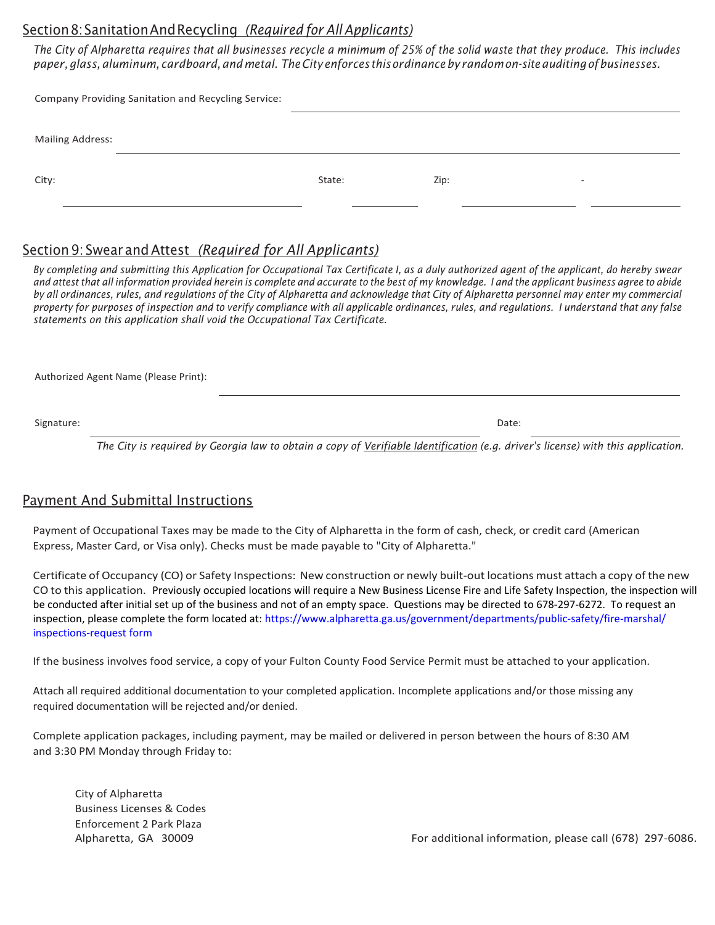#### Section8:SanitationAndRecycling *(Required for All Applicants)*

The City of Alpharetta requires that all businesses recycle a minimum of 25% of the solid waste that they produce. This includes *paper,glass,aluminum, cardboard,and metal. TheCity enforces thisordinance by randomon-siteauditing ofbusinesses.*

| Company Providing Sanitation and Recycling Service: |        |      |  |
|-----------------------------------------------------|--------|------|--|
|                                                     |        |      |  |
| <b>Mailing Address:</b>                             |        |      |  |
|                                                     |        |      |  |
| City:                                               | State: | Zip: |  |
|                                                     |        |      |  |

#### Section 9: Swear andAttest *(Required for All Applicants)*

By completing and submitting this Application for Occupational Tax Certificate I, as a duly authorized agent of the applicant, do hereby swear and attest that all information provided herein is complete and accurate to the best of my knowledge. I and the applicant business agree to abide by all ordinances, rules, and regulations of the City of Alpharetta and acknowledge that City of Alpharetta personnel may enter my commercial property for purposes of inspection and to verify compliance with all applicable ordinances, rules, and regulations. I understand that any false *statements on this application shall void the Occupational Tax Certificate.*

Authorized Agent Name (Please Print):

Signature: Date:

*The City is required by Georgia law to obtain a copy of Verifiable Identification (e.g. driver's license) with this application.*

#### Payment And Submittal Instructions

Payment of Occupational Taxes may be made to the City of Alpharetta in the form of cash, check, or credit card (American Express, Master Card, or Visa only). Checks must be made payable to "City of Alpharetta."

Certificate of Occupancy (CO) or Safety Inspections: New construction or newly built-out locations must attach a copy of the new CO to this application. Previously occupied locations will require a New Business License Fire and Life Safety Inspection, the inspection will be conducted after initial set up of the business and not of an empty space. Questions may be directed to 678-297-6272. To request an inspection, please complete the form located at: [https://www.alpharetta.ga.us/government/departments/public-safety/fire-marshal/](https://www.alpharetta.ga.us/government/departments/public-safety/fire/fire-prevention-permits/inspections-request) [inspections-request form](https://www.alpharetta.ga.us/government/departments/public-safety/fire/fire-prevention-permits/inspections-request)

If the business involves food service, a copy of your Fulton County Food Service Permit must be attached to your application.

Attach all required additional documentation to your completed application. Incomplete applications and/or those missing any required documentation will be rejected and/or denied.

Complete application packages, including payment, may be mailed or delivered in person between the hours of 8:30 AM and 3:30 PM Monday through Friday to:

City of Alpharetta Business Licenses & Codes Enforcement 2 Park Plaza

Alpharetta, GA 30009 **For additional information, please call (678)** 297-6086.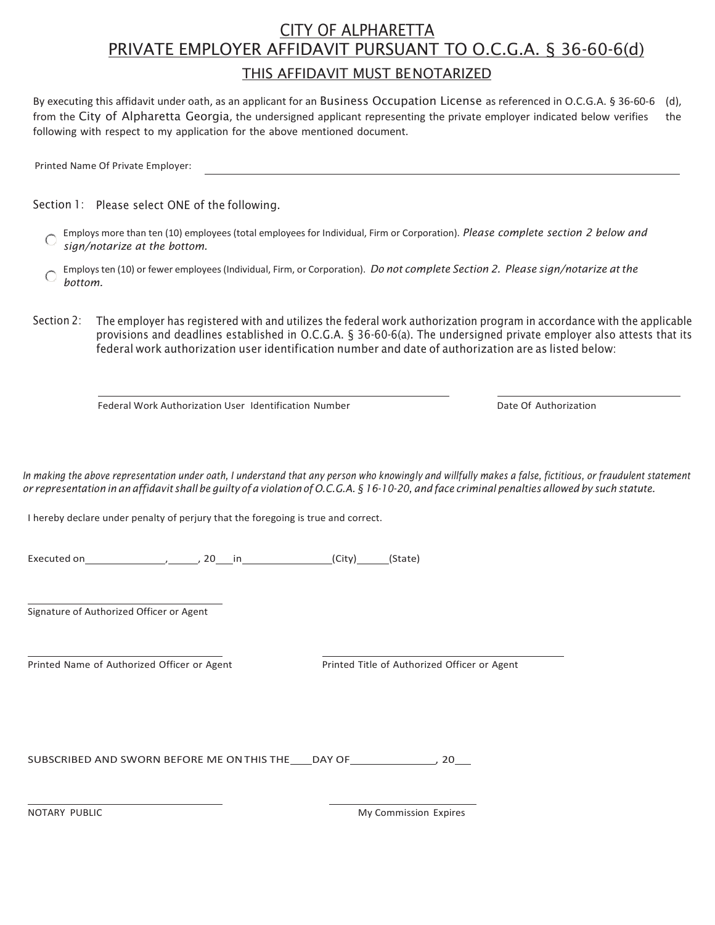# CITY OF ALPHARETTA PRIVATE EMPLOYER AFFIDAVIT PURSUANT TO O.C.G.A. § 36-60-6(d) THIS AFFIDAVIT MUST BENOTARIZED

By executing this affidavit under oath, as an applicant for an Business Occupation License as referenced in O.C.G.A. § 36-60-6 (d), from the City of Alpharetta Georgia, the undersigned applicant representing the private employer indicated below verifies the following with respect to my application for the above mentioned document.

Printed Name Of Private Employer:

Section 1: Please select ONE of the following.

- Employs more than ten (10) employees (total employees for Individual, Firm or Corporation). *Please complete section 2 below and*  $\cap$ *sign/notarize at the bottom.*
- Employs ten (10) or fewer employees (Individual, Firm, or Corporation). *Do not complete Section 2. Please sign/notarize atthe*  $\bigcap$ *bottom.*
- Section 2: The employer has registered with and utilizes the federal work authorization program in accordance with the applicable provisions and deadlines established in O.C.G.A. § 36-60-6(a). The undersigned private employer also attests that its federal work authorization user identification number and date of authorization are as listed below:

Federal Work Authorization User Identification Number **Date Authorization** Date Of Authorization

In making the above representation under oath, I understand that any person who knowingly and willfully makes a false, fictitious, or fraudulent statement or representation in an affidavit shall be guilty of a violation of O.C.G.A. § 16-10-20, and face criminal penalties allowed by such statute.

I hereby declare under penalty of perjury that the foregoing is true and correct.

Executed on  $\begin{array}{c} \begin{array}{c} \n\hline\n20 \quad in \n\end{array}$  (City) (State)

Signature of Authorized Officer or Agent

Printed Name of Authorized Officer or Agent Printed Title of Authorized Officer or Agent

SUBSCRIBED AND SWORN BEFORE ME ON THIS THE \_\_\_ DAY OF \_\_\_\_\_\_\_\_\_\_\_\_\_\_\_\_, 20\_\_\_

NOTARY PUBLIC My Commission Expires